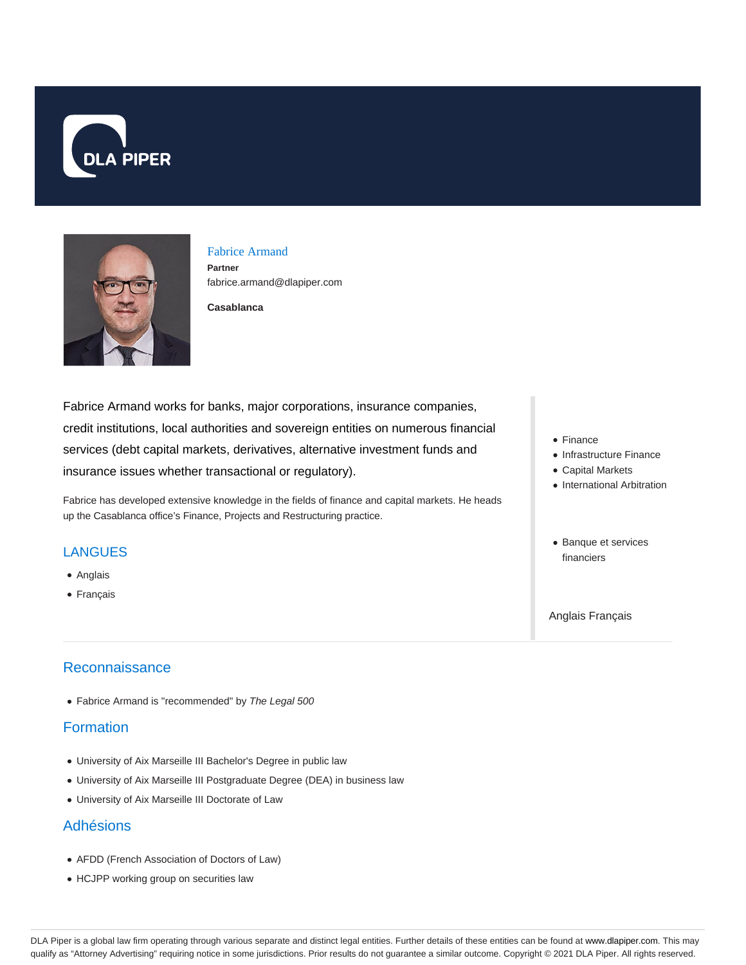



# Fabrice Armand

**Partner** fabrice.armand@dlapiper.com

**Casablanca**

Fabrice Armand works for banks, major corporations, insurance companies, credit institutions, local authorities and sovereign entities on numerous financial services (debt capital markets, derivatives, alternative investment funds and insurance issues whether transactional or regulatory).

Fabrice has developed extensive knowledge in the fields of finance and capital markets. He heads up the Casablanca office's Finance, Projects and Restructuring practice.

#### **LANGUES**

- Anglais
- Français

### **Reconnaissance**

• Fabrice Armand is "recommended" by The Legal 500

#### **Formation**

- University of Aix Marseille III Bachelor's Degree in public law
- University of Aix Marseille III Postgraduate Degree (DEA) in business law
- University of Aix Marseille III Doctorate of Law

#### Adhésions

- AFDD (French Association of Doctors of Law)
- HCJPP working group on securities law
- Finance
- Infrastructure Finance
- Capital Markets
- International Arbitration
- Banque et services financiers

Anglais Français